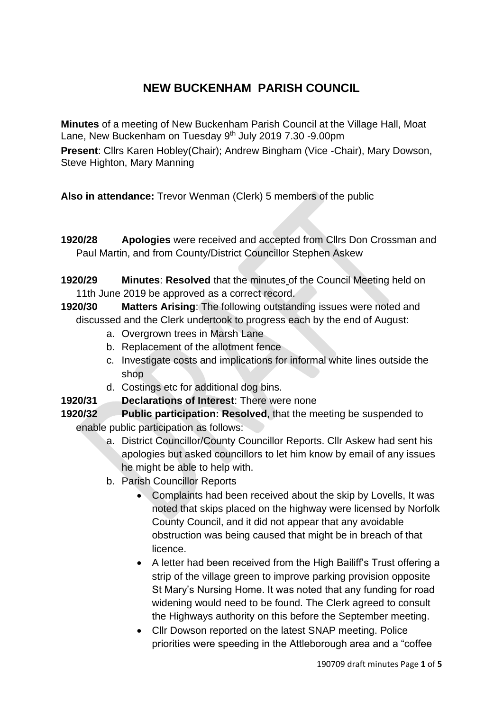# **NEW BUCKENHAM PARISH COUNCIL**

**Minutes** of a meeting of New Buckenham Parish Council at the Village Hall, Moat Lane, New Buckenham on Tuesday 9<sup>th</sup> July 2019 7.30 -9.00pm

**Present**: Cllrs Karen Hobley(Chair); Andrew Bingham (Vice -Chair), Mary Dowson, Steve Highton, Mary Manning

**Also in attendance:** Trevor Wenman (Clerk) 5 members of the public

- **1920/28 Apologies** were received and accepted from Cllrs Don Crossman and Paul Martin, and from County/District Councillor Stephen Askew
- **1920/29 Minutes**: **Resolved** that the minutes of the Council Meeting held on 11th June 2019 be approved as a correct record.
- **1920/30 Matters Arising**: The following outstanding issues were noted and discussed and the Clerk undertook to progress each by the end of August:
	- a. Overgrown trees in Marsh Lane
	- b. Replacement of the allotment fence
	- c. Investigate costs and implications for informal white lines outside the shop
	- d. Costings etc for additional dog bins.
- **1920/31 Declarations of Interest**: There were none
- **1920/32 Public participation: Resolved**, that the meeting be suspended to enable public participation as follows:
	- a. District Councillor/County Councillor Reports. Cllr Askew had sent his apologies but asked councillors to let him know by email of any issues he might be able to help with.
	- b. Parish Councillor Reports
		- Complaints had been received about the skip by Lovells, It was noted that skips placed on the highway were licensed by Norfolk County Council, and it did not appear that any avoidable obstruction was being caused that might be in breach of that licence.
		- A letter had been received from the High Bailiff's Trust offering a strip of the village green to improve parking provision opposite St Mary's Nursing Home. It was noted that any funding for road widening would need to be found. The Clerk agreed to consult the Highways authority on this before the September meeting.
		- Cllr Dowson reported on the latest SNAP meeting. Police priorities were speeding in the Attleborough area and a "coffee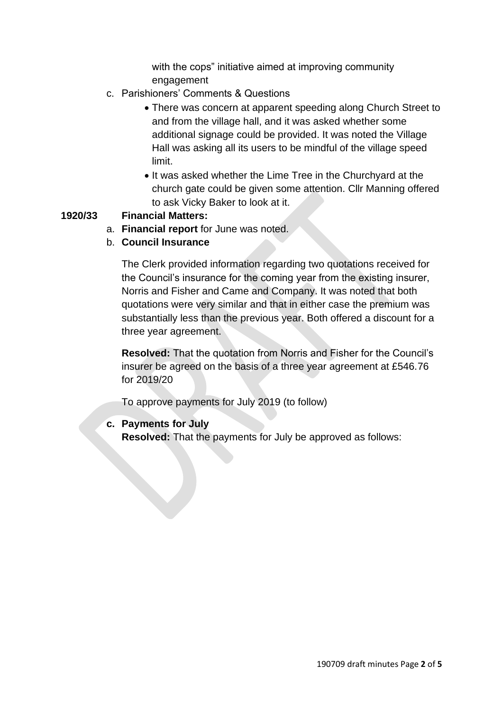with the cops" initiative aimed at improving community engagement

- c. Parishioners' Comments & Questions
	- There was concern at apparent speeding along Church Street to and from the village hall, and it was asked whether some additional signage could be provided. It was noted the Village Hall was asking all its users to be mindful of the village speed limit.
	- It was asked whether the Lime Tree in the Churchyard at the church gate could be given some attention. Cllr Manning offered to ask Vicky Baker to look at it.

## **1920/33 Financial Matters:**

- a. **Financial report** for June was noted.
- b. **Council Insurance**

The Clerk provided information regarding two quotations received for the Council's insurance for the coming year from the existing insurer, Norris and Fisher and Came and Company. It was noted that both quotations were very similar and that in either case the premium was substantially less than the previous year. Both offered a discount for a three year agreement.

**Resolved:** That the quotation from Norris and Fisher for the Council's insurer be agreed on the basis of a three year agreement at £546.76 for 2019/20

To approve payments for July 2019 (to follow)

## **c. Payments for July**

**Resolved:** That the payments for July be approved as follows: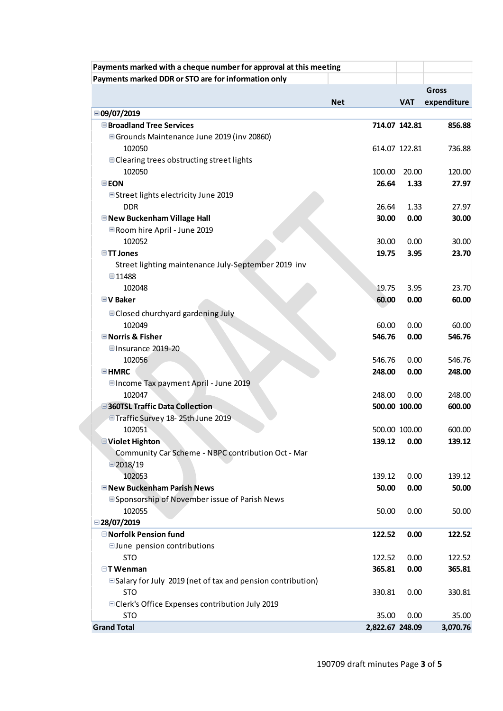| Payments marked with a cheque number for approval at this meeting |            |                 |               |              |
|-------------------------------------------------------------------|------------|-----------------|---------------|--------------|
| Payments marked DDR or STO are for information only               |            |                 |               |              |
|                                                                   |            |                 |               | <b>Gross</b> |
|                                                                   | <b>Net</b> |                 | <b>VAT</b>    | expenditure  |
| □ 09/07/2019                                                      |            |                 |               |              |
| <b>■Broadland Tree Services</b>                                   |            |                 | 714.07 142.81 | 856.88       |
| ■ Grounds Maintenance June 2019 (inv 20860)                       |            |                 |               |              |
| 102050                                                            |            |                 | 614.07 122.81 | 736.88       |
| <b>■ Clearing trees obstructing street lights</b>                 |            |                 |               |              |
| 102050                                                            |            | 100.00          | 20.00         | 120.00       |
| <b>EEON</b>                                                       |            | 26.64           | 1.33          | 27.97        |
| ■Street lights electricity June 2019                              |            |                 |               |              |
| <b>DDR</b>                                                        |            | 26.64           | 1.33          | 27.97        |
| <b>■ New Buckenham Village Hall</b>                               |            | 30.00           | 0.00          | 30.00        |
| <b>E</b> Room hire April - June 2019                              |            |                 |               |              |
| 102052                                                            |            | 30.00           | 0.00          | 30.00        |
| <b>■TT Jones</b>                                                  |            | 19.75           | 3.95          | 23.70        |
| Street lighting maintenance July-September 2019 inv               |            |                 |               |              |
| ■11488<br>102048                                                  |            | 19.75           | 3.95          | 23.70        |
| <b>■V Baker</b>                                                   |            | 60.00           | 0.00          | 60.00        |
|                                                                   |            |                 |               |              |
| <b>■ Closed churchyard gardening July</b>                         |            |                 |               |              |
| 102049                                                            |            | 60.00           | 0.00          | 60.00        |
| <b>■Norris &amp; Fisher</b>                                       |            | 546.76          | 0.00          | 546.76       |
| □Insurance 2019-20<br>102056                                      |            | 546.76          | 0.00          | 546.76       |
| <b>EHMRC</b>                                                      |            | 248.00          | 0.00          | 248.00       |
| □ Income Tax payment April - June 2019                            |            |                 |               |              |
| 102047                                                            |            | 248.00          | 0.00          | 248.00       |
| 360TSL Traffic Data Collection                                    |            |                 | 500.00 100.00 | 600.00       |
| □Traffic Survey 18-25th June 2019                                 |            |                 |               |              |
| 102051                                                            |            |                 | 500.00 100.00 | 600.00       |
| <b>□Violet Highton</b>                                            |            | 139.12          | 0.00          | 139.12       |
| Community Car Scheme - NBPC contribution Oct - Mar                |            |                 |               |              |
| □2018/19                                                          |            |                 |               |              |
| 102053                                                            |            | 139.12          | 0.00          | 139.12       |
| <b>ENew Buckenham Parish News</b>                                 |            | 50.00           | 0.00          | 50.00        |
| <b>■Sponsorship of November issue of Parish News</b>              |            |                 |               |              |
| 102055                                                            |            | 50.00           | 0.00          | 50.00        |
| □28/07/2019                                                       |            |                 |               |              |
| <b>□ Norfolk Pension fund</b>                                     |            | 122.52          | 0.00          | 122.52       |
| $\Box$ June pension contributions                                 |            |                 |               |              |
| <b>STO</b>                                                        |            | 122.52          | 0.00          | 122.52       |
| $\Box$ T Wenman                                                   |            | 365.81          | 0.00          | 365.81       |
| $\Box$ Salary for July 2019 (net of tax and pension contribution) |            |                 |               |              |
| <b>STO</b>                                                        |            | 330.81          | 0.00          | 330.81       |
| □ Clerk's Office Expenses contribution July 2019                  |            |                 |               |              |
| <b>STO</b>                                                        |            | 35.00           | 0.00          | 35.00        |
| <b>Grand Total</b>                                                |            | 2,822.67 248.09 |               | 3,070.76     |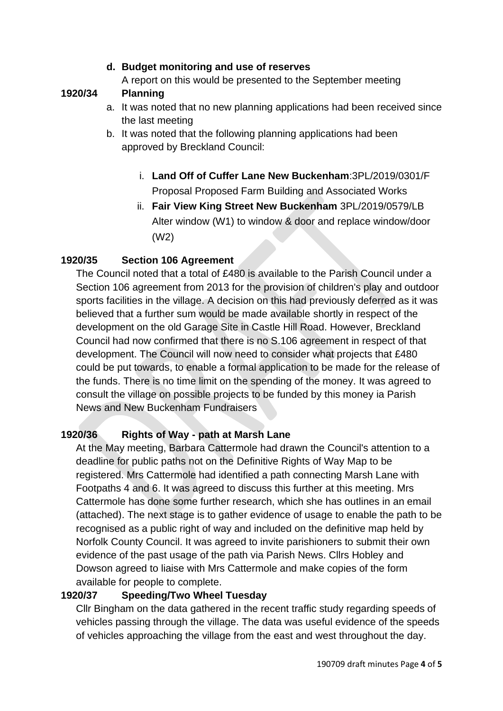## **d. Budget monitoring and use of reserves**

A report on this would be presented to the September meeting

# **1920/34 Planning**

- a. It was noted that no new planning applications had been received since the last meeting
- b. It was noted that the following planning applications had been approved by Breckland Council:
	- i. **Land Off of Cuffer Lane New Buckenham**:3PL/2019/0301/F Proposal Proposed Farm Building and Associated Works
	- ii. **Fair View King Street New Buckenham** 3PL/2019/0579/LB Alter window (W1) to window & door and replace window/door (W2)

# **1920/35 Section 106 Agreement**

The Council noted that a total of £480 is available to the Parish Council under a Section 106 agreement from 2013 for the provision of children's play and outdoor sports facilities in the village. A decision on this had previously deferred as it was believed that a further sum would be made available shortly in respect of the development on the old Garage Site in Castle Hill Road. However, Breckland Council had now confirmed that there is no S.106 agreement in respect of that development. The Council will now need to consider what projects that £480 could be put towards, to enable a formal application to be made for the release of the funds. There is no time limit on the spending of the money. It was agreed to consult the village on possible projects to be funded by this money ia Parish News and New Buckenham Fundraisers

## **1920/36 Rights of Way - path at Marsh Lane**

At the May meeting, Barbara Cattermole had drawn the Council's attention to a deadline for public paths not on the Definitive Rights of Way Map to be registered. Mrs Cattermole had identified a path connecting Marsh Lane with Footpaths 4 and 6. It was agreed to discuss this further at this meeting. Mrs Cattermole has done some further research, which she has outlines in an email (attached). The next stage is to gather evidence of usage to enable the path to be recognised as a public right of way and included on the definitive map held by Norfolk County Council. It was agreed to invite parishioners to submit their own evidence of the past usage of the path via Parish News. Cllrs Hobley and Dowson agreed to liaise with Mrs Cattermole and make copies of the form available for people to complete.

## **1920/37 Speeding/Two Wheel Tuesday**

Cllr Bingham on the data gathered in the recent traffic study regarding speeds of vehicles passing through the village. The data was useful evidence of the speeds of vehicles approaching the village from the east and west throughout the day.